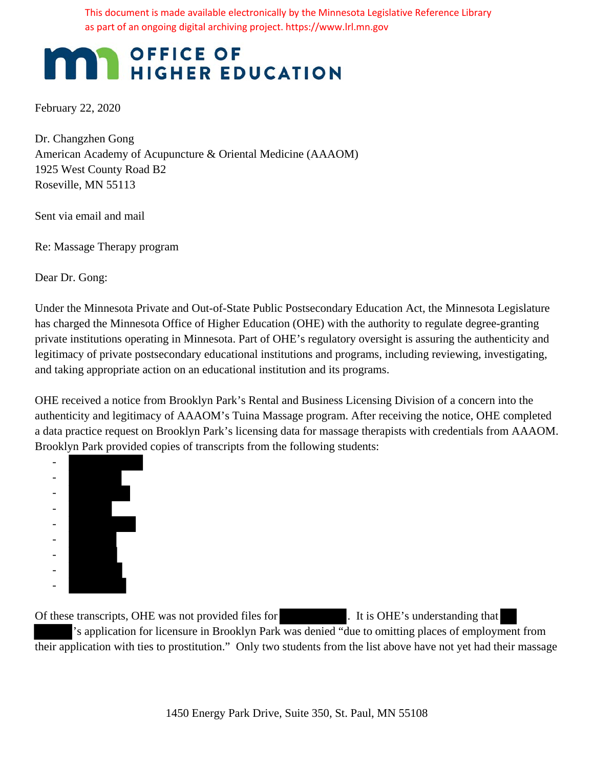This document is made available electronically by the Minnesota Legislative Reference Library as part of an ongoing digital archiving project. https://www.lrl.mn.gov

# OFFICE OF HIGHER EDUCATION

February 22, 2020

Dr. Changzhen Gong American Academy of Acupuncture & Oriental Medicine (AAAOM) 1925 West County Road B2 Roseville, MN 55113

Sent via email and mail

Re: Massage Therapy program

Dear Dr. Gong:

Under the Minnesota Private and Out-of-State Public Postsecondary Education Act, the Minnesota Legislature has charged the Minnesota Office of Higher Education (OHE) with the authority to regulate degree-granting private institutions operating in Minnesota. Part of OHE's regulatory oversight is assuring the authenticity and legitimacy of private postsecondary educational institutions and programs, including reviewing, investigating, and taking appropriate action on an educational institution and its programs.

OHE received a notice from Brooklyn Park's Rental and Business Licensing Division of a concern into the authenticity and legitimacy of AAAOM's Tuina Massage program. After receiving the notice, OHE completed a data practice request on Brooklyn Park's licensing data for massage therapists with credentials from AAAOM. Brooklyn Park provided copies of transcripts from the following students:



Of these transcripts, OHE was not provided files for . It is OHE's understanding that 's application for licensure in Brooklyn Park was denied "due to omitting places of employment from their application with ties to prostitution." Only two students from the list above have not yet had their massage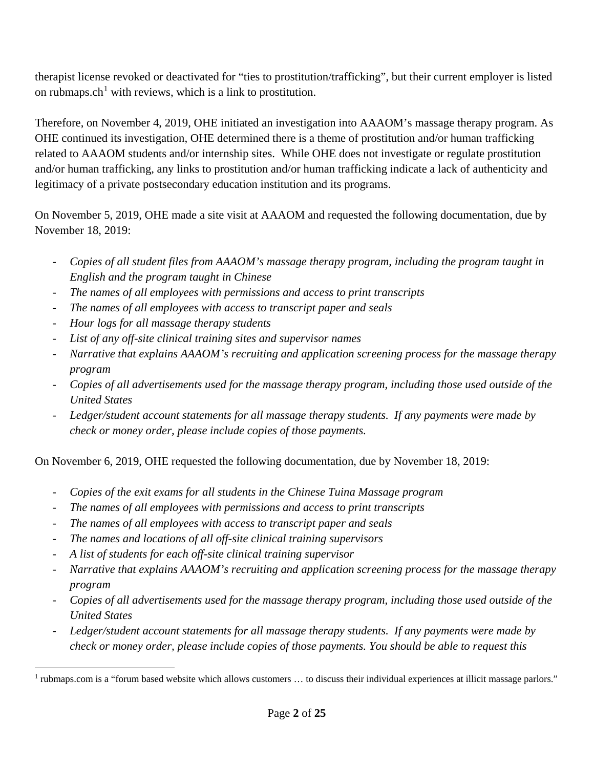therapist license revoked or deactivated for "ties to prostitution/trafficking", but their current employer is listed on rubmaps.ch<sup>1</sup> with reviews, which is a link to prostitution.

Therefore, on November 4, 2019, OHE initiated an investigation into AAAOM's massage therapy program. As OHE continued its investigation, OHE determined there is a theme of prostitution and/or human trafficking related to AAAOM students and/or internship sites. While OHE does not investigate or regulate prostitution and/or human trafficking, any links to prostitution and/or human trafficking indicate a lack of authenticity and legitimacy of a private postsecondary education institution and its programs.

On November 5, 2019, OHE made a site visit at AAAOM and requested the following documentation, due by November 18, 2019:

- *Copies of all student files from AAAOM's massage therapy program, including the program taught in English and the program taught in Chinese*
- *The names of all employees with permissions and access to print transcripts*
- The names of all employees with access to transcript paper and seals
- *Hour logs for all massage therapy students*
- *List of any off-site clinical training sites and supervisor names*
- *Narrative that explains AAAOM's recruiting and application screening process for the massage therapy program*
- *Copies of all advertisements used for the massage therapy program, including those used outside of the United States*
- *Ledger/student account statements for all massage therapy students. If any payments were made by check or money order, please include copies of those payments.*

On November 6, 2019, OHE requested the following documentation, due by November 18, 2019:

- *Copies of the exit exams for all students in the Chinese Tuina Massage program*
- *The names of all employees with permissions and access to print transcripts*
- The names of all employees with access to transcript paper and seals
- *The names and locations of all off-site clinical training supervisors*
- *A list of students for each off-site clinical training supervisor*
- *Narrative that explains AAAOM's recruiting and application screening process for the massage therapy program*
- *Copies of all advertisements used for the massage therapy program, including those used outside of the United States*
- *Ledger/student account statements for all massage therapy students. If any payments were made by check or money order, please include copies of those payments. You should be able to request this*

 $\overline{a}$ <sup>1</sup> rubmaps.com is a "forum based website which allows customers ... to discuss their individual experiences at illicit massage parlors."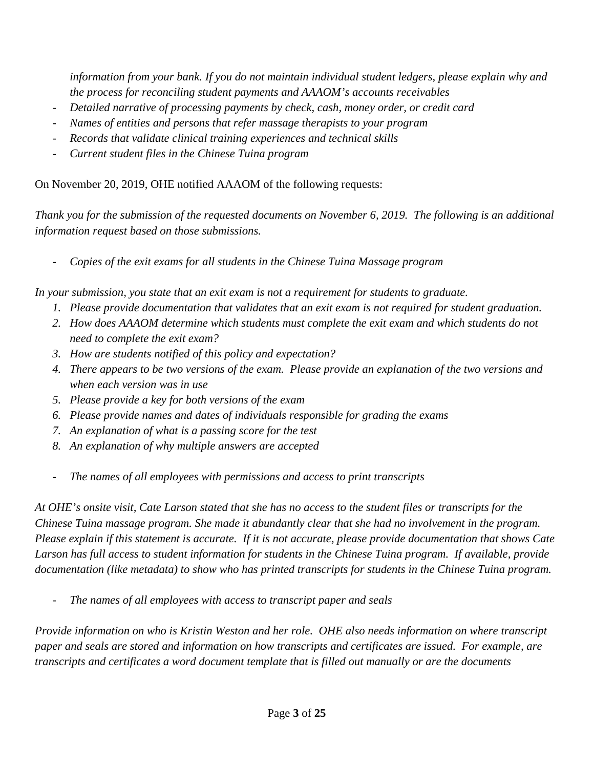*information from your bank. If you do not maintain individual student ledgers, please explain why and the process for reconciling student payments and AAAOM's accounts receivables*

- *Detailed narrative of processing payments by check, cash, money order, or credit card*
- *Names of entities and persons that refer massage therapists to your program*
- *Records that validate clinical training experiences and technical skills*
- *Current student files in the Chinese Tuina program*

On November 20, 2019, OHE notified AAAOM of the following requests:

*Thank you for the submission of the requested documents on November 6, 2019. The following is an additional information request based on those submissions.* 

- *Copies of the exit exams for all students in the Chinese Tuina Massage program* 

*In your submission, you state that an exit exam is not a requirement for students to graduate.* 

- *1. Please provide documentation that validates that an exit exam is not required for student graduation.*
- *2. How does AAAOM determine which students must complete the exit exam and which students do not need to complete the exit exam?*
- *3. How are students notified of this policy and expectation?*
- *4. There appears to be two versions of the exam. Please provide an explanation of the two versions and when each version was in use*
- *5. Please provide a key for both versions of the exam*
- *6. Please provide names and dates of individuals responsible for grading the exams*
- *7. An explanation of what is a passing score for the test*
- *8. An explanation of why multiple answers are accepted*
- *The names of all employees with permissions and access to print transcripts*

*At OHE's onsite visit, Cate Larson stated that she has no access to the student files or transcripts for the Chinese Tuina massage program. She made it abundantly clear that she had no involvement in the program. Please explain if this statement is accurate. If it is not accurate, please provide documentation that shows Cate Larson has full access to student information for students in the Chinese Tuina program. If available, provide documentation (like metadata) to show who has printed transcripts for students in the Chinese Tuina program.* 

- *The names of all employees with access to transcript paper and seals* 

*Provide information on who is Kristin Weston and her role. OHE also needs information on where transcript paper and seals are stored and information on how transcripts and certificates are issued. For example, are transcripts and certificates a word document template that is filled out manually or are the documents*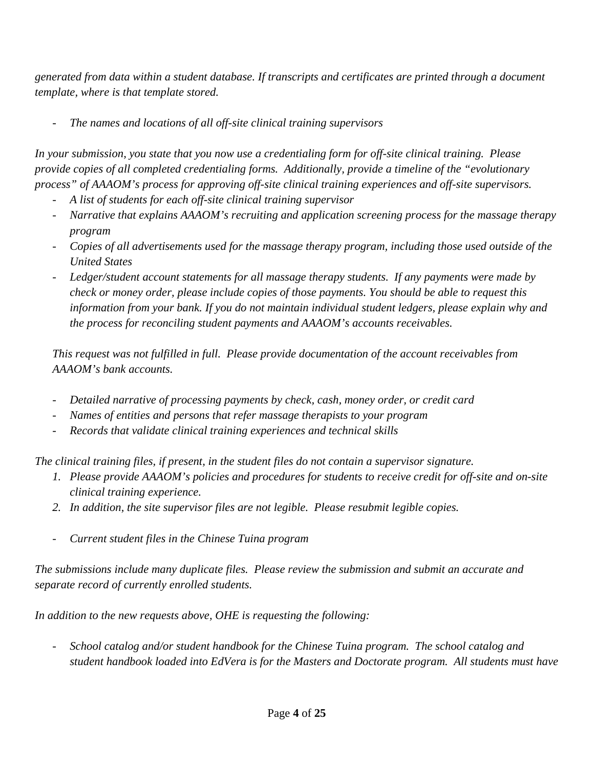*generated from data within a student database. If transcripts and certificates are printed through a document template, where is that template stored.* 

- *The names and locations of all off-site clinical training supervisors* 

*In your submission, you state that you now use a credentialing form for off-site clinical training. Please provide copies of all completed credentialing forms. Additionally, provide a timeline of the "evolutionary process" of AAAOM's process for approving off-site clinical training experiences and off-site supervisors.* 

- *A list of students for each off-site clinical training supervisor*
- *Narrative that explains AAAOM's recruiting and application screening process for the massage therapy program*
- *Copies of all advertisements used for the massage therapy program, including those used outside of the United States*
- *Ledger/student account statements for all massage therapy students. If any payments were made by check or money order, please include copies of those payments. You should be able to request this information from your bank. If you do not maintain individual student ledgers, please explain why and the process for reconciling student payments and AAAOM's accounts receivables.*

*This request was not fulfilled in full. Please provide documentation of the account receivables from AAAOM's bank accounts.* 

- *Detailed narrative of processing payments by check, cash, money order, or credit card*
- *Names of entities and persons that refer massage therapists to your program*
- *Records that validate clinical training experiences and technical skills*

*The clinical training files, if present, in the student files do not contain a supervisor signature.* 

- *1. Please provide AAAOM's policies and procedures for students to receive credit for off-site and on-site clinical training experience.*
- *2. In addition, the site supervisor files are not legible. Please resubmit legible copies.*
- *Current student files in the Chinese Tuina program*

*The submissions include many duplicate files. Please review the submission and submit an accurate and separate record of currently enrolled students.* 

*In addition to the new requests above, OHE is requesting the following:* 

- *School catalog and/or student handbook for the Chinese Tuina program. The school catalog and student handbook loaded into EdVera is for the Masters and Doctorate program. All students must have*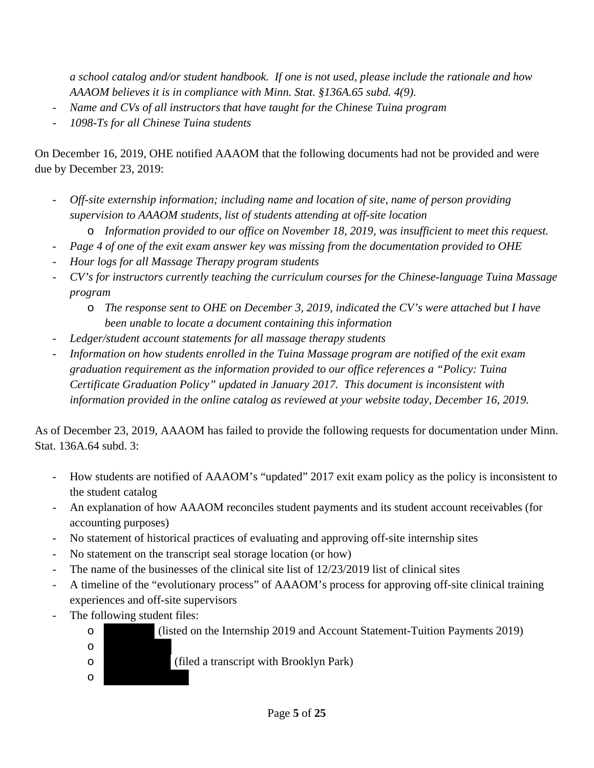*a school catalog and/or student handbook. If one is not used, please include the rationale and how AAAOM believes it is in compliance with Minn. Stat. §136A.65 subd. 4(9).* 

- *Name and CVs of all instructors that have taught for the Chinese Tuina program*
- *1098-Ts for all Chinese Tuina students*

On December 16, 2019, OHE notified AAAOM that the following documents had not be provided and were due by December 23, 2019:

- *Off-site externship information; including name and location of site, name of person providing supervision to AAAOM students, list of students attending at off-site location*
	- o *Information provided to our office on November 18, 2019, was insufficient to meet this request.*
- *Page 4 of one of the exit exam answer key was missing from the documentation provided to OHE*
- *Hour logs for all Massage Therapy program students*
- *CV's for instructors currently teaching the curriculum courses for the Chinese-language Tuina Massage program* 
	- o *The response sent to OHE on December 3, 2019, indicated the CV's were attached but I have been unable to locate a document containing this information*
- *Ledger/student account statements for all massage therapy students*
- *Information on how students enrolled in the Tuina Massage program are notified of the exit exam graduation requirement as the information provided to our office references a "Policy: Tuina Certificate Graduation Policy" updated in January 2017. This document is inconsistent with information provided in the online catalog as reviewed at your website today, December 16, 2019.*

As of December 23, 2019, AAAOM has failed to provide the following requests for documentation under Minn. Stat. 136A.64 subd. 3:

- How students are notified of AAAOM's "updated" 2017 exit exam policy as the policy is inconsistent to the student catalog
- An explanation of how AAAOM reconciles student payments and its student account receivables (for accounting purposes)
- No statement of historical practices of evaluating and approving off-site internship sites
- No statement on the transcript seal storage location (or how)
- The name of the businesses of the clinical site list of 12/23/2019 list of clinical sites
- A timeline of the "evolutionary process" of AAAOM's process for approving off-site clinical training experiences and off-site supervisors
- The following student files:

o

o

- o (listed on the Internship 2019 and Account Statement-Tuition Payments 2019)
- o (filed a transcript with Brooklyn Park)
	- Page **5** of **25**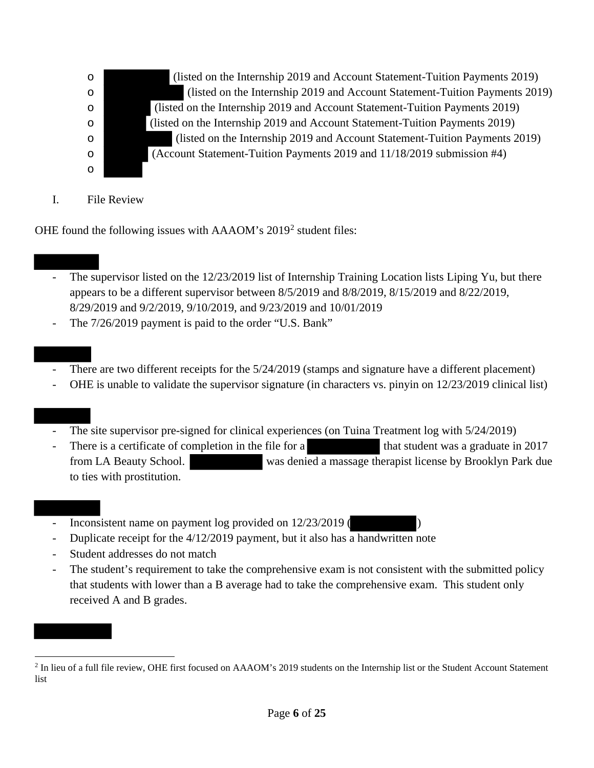o (listed on the Internship 2019 and Account Statement-Tuition Payments 2019) o (listed on the Internship 2019 and Account Statement-Tuition Payments 2019) o (listed on the Internship 2019 and Account Statement-Tuition Payments 2019) o (listed on the Internship 2019 and Account Statement-Tuition Payments 2019) o (listed on the Internship 2019 and Account Statement-Tuition Payments 2019) o (Account Statement-Tuition Payments 2019 and 11/18/2019 submission #4)

I. File Review

o

OHE found the following issues with AAAOM's 2019<sup>2</sup> student files:

- The supervisor listed on the 12/23/2019 list of Internship Training Location lists Liping Yu, but there appears to be a different supervisor between 8/5/2019 and 8/8/2019, 8/15/2019 and 8/22/2019, 8/29/2019 and 9/2/2019, 9/10/2019, and 9/23/2019 and 10/01/2019
- The  $7/26/2019$  payment is paid to the order "U.S. Bank"

- There are two different receipts for the  $5/24/2019$  (stamps and signature have a different placement)
- OHE is unable to validate the supervisor signature (in characters vs. pinyin on  $12/23/2019$  clinical list)

- The site supervisor pre-signed for clinical experiences (on Tuina Treatment log with  $\frac{5}{24/2019}$ )
- There is a certificate of completion in the file for a that student was a graduate in 2017 from LA Beauty School. was denied a massage therapist license by Brooklyn Park due to ties with prostitution.
- Inconsistent name on payment log provided on  $12/23/2019$
- Duplicate receipt for the 4/12/2019 payment, but it also has a handwritten note
- Student addresses do not match
- The student's requirement to take the comprehensive exam is not consistent with the submitted policy that students with lower than a B average had to take the comprehensive exam. This student only received A and B grades.

 $\overline{a}$ <sup>2</sup> In lieu of a full file review, OHE first focused on AAAOM's 2019 students on the Internship list or the Student Account Statement list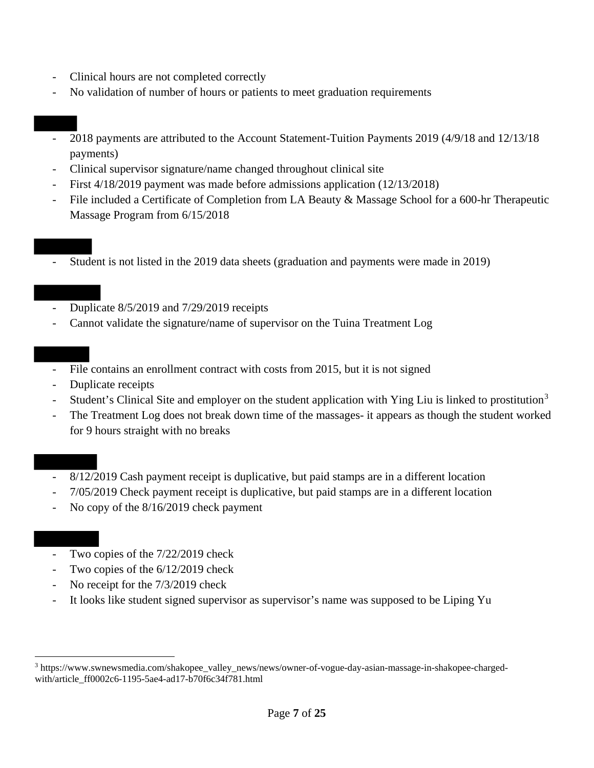- Clinical hours are not completed correctly
- No validation of number of hours or patients to meet graduation requirements

- 2018 payments are attributed to the Account Statement-Tuition Payments 2019 (4/9/18 and 12/13/18 payments)
- Clinical supervisor signature/name changed throughout clinical site
- First 4/18/2019 payment was made before admissions application (12/13/2018)
- File included a Certificate of Completion from LA Beauty & Massage School for a 600-hr Therapeutic Massage Program from 6/15/2018
- Student is not listed in the 2019 data sheets (graduation and payments were made in 2019)

- Duplicate 8/5/2019 and 7/29/2019 receipts
- Cannot validate the signature/name of supervisor on the Tuina Treatment Log

- File contains an enrollment contract with costs from 2015, but it is not signed
- Duplicate receipts
- Student's Clinical Site and employer on the student application with Ying Liu is linked to prostitution<sup>3</sup>
- The Treatment Log does not break down time of the massages- it appears as though the student worked for 9 hours straight with no breaks

- 8/12/2019 Cash payment receipt is duplicative, but paid stamps are in a different location
- 7/05/2019 Check payment receipt is duplicative, but paid stamps are in a different location
- No copy of the  $8/16/2019$  check payment
- Two copies of the  $7/22/2019$  check
- Two copies of the 6/12/2019 check
- No receipt for the  $7/3/2019$  check
- It looks like student signed supervisor as supervisor's name was supposed to be Liping Yu

 $\overline{a}$ <sup>3</sup> https://www.swnewsmedia.com/shakopee\_valley\_news/news/owner-of-vogue-day-asian-massage-in-shakopee-chargedwith/article\_ff0002c6-1195-5ae4-ad17-b70f6c34f781.html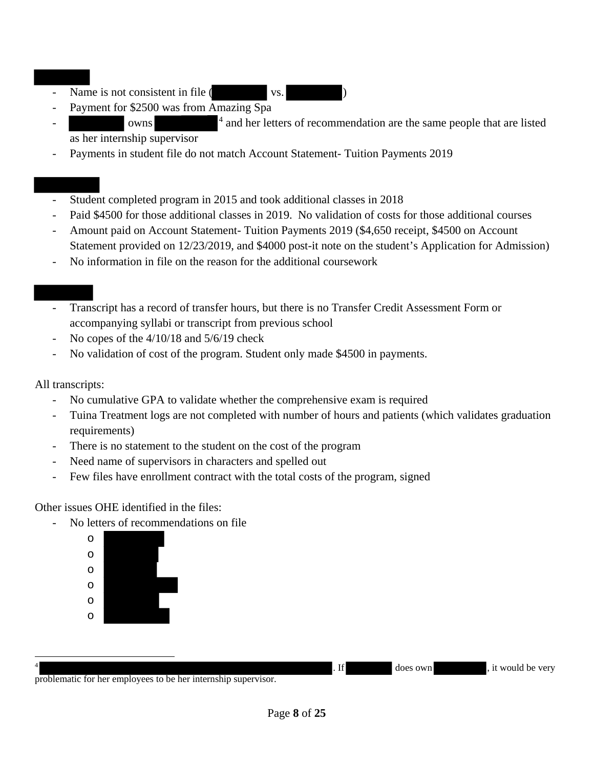- Name is not consistent in file ( vs.
- Payment for \$2500 was from Amazing Spa
- <sup>4</sup> and her letters of recommendation are the same people that are listed as her internship supervisor
- Payments in student file do not match Account Statement- Tuition Payments 2019

- Student completed program in 2015 and took additional classes in 2018
- Paid \$4500 for those additional classes in 2019. No validation of costs for those additional courses
- Amount paid on Account Statement- Tuition Payments 2019 (\$4,650 receipt, \$4500 on Account Statement provided on 12/23/2019, and \$4000 post-it note on the student's Application for Admission)
- No information in file on the reason for the additional coursework

- Transcript has a record of transfer hours, but there is no Transfer Credit Assessment Form or accompanying syllabi or transcript from previous school
- No copes of the  $4/10/18$  and  $5/6/19$  check
- No validation of cost of the program. Student only made \$4500 in payments.

## All transcripts:

- No cumulative GPA to validate whether the comprehensive exam is required
- Tuina Treatment logs are not completed with number of hours and patients (which validates graduation requirements)
- There is no statement to the student on the cost of the program
- Need name of supervisors in characters and spelled out
- Few files have enrollment contract with the total costs of the program, signed

Other issues OHE identified in the files:

- No letters of recommendations on file

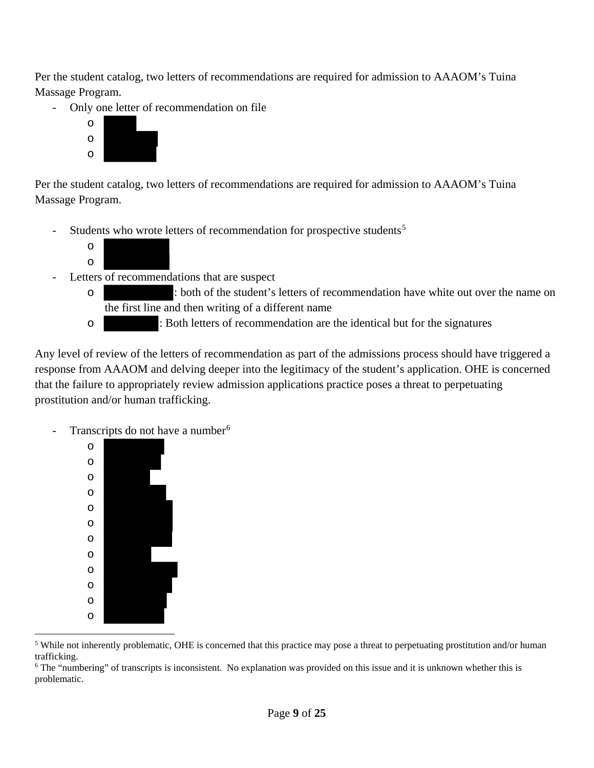Per the student catalog, two letters of recommendations are required for admission to AAAOM's Tuina Massage Program.

- Only one letter of recommendation on file



Per the student catalog, two letters of recommendations are required for admission to AAAOM's Tuina Massage Program.

Students who wrote letters of recommendation for prospective students<sup>5</sup>



- Letters of recommendations that are suspect
	- o : both of the student's letters of recommendation have white out over the name on the first line and then writing of a different name
	- o : Both letters of recommendation are the identical but for the signatures

Any level of review of the letters of recommendation as part of the admissions process should have triggered a response from AAAOM and delving deeper into the legitimacy of the student's application. OHE is concerned that the failure to appropriately review admission applications practice poses a threat to perpetuating prostitution and/or human trafficking.

Transcripts do not have a number<sup>6</sup>



 $\overline{a}$ <sup>5</sup> While not inherently problematic, OHE is concerned that this practice may pose a threat to perpetuating prostitution and/or human trafficking.<br><sup>6</sup> The "numbering" of transcripts is inconsistent. No explanation was provided on this issue and it is unknown whether this is

problematic.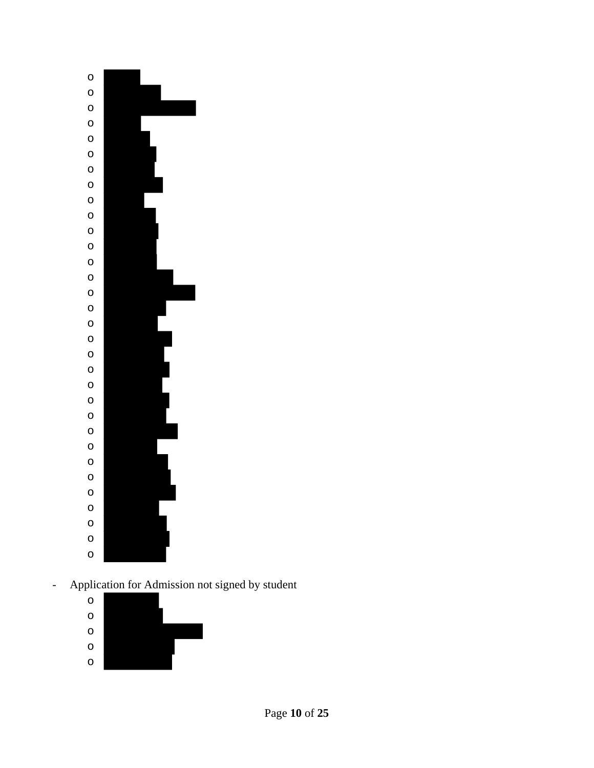

- Application for Admission not signed by student

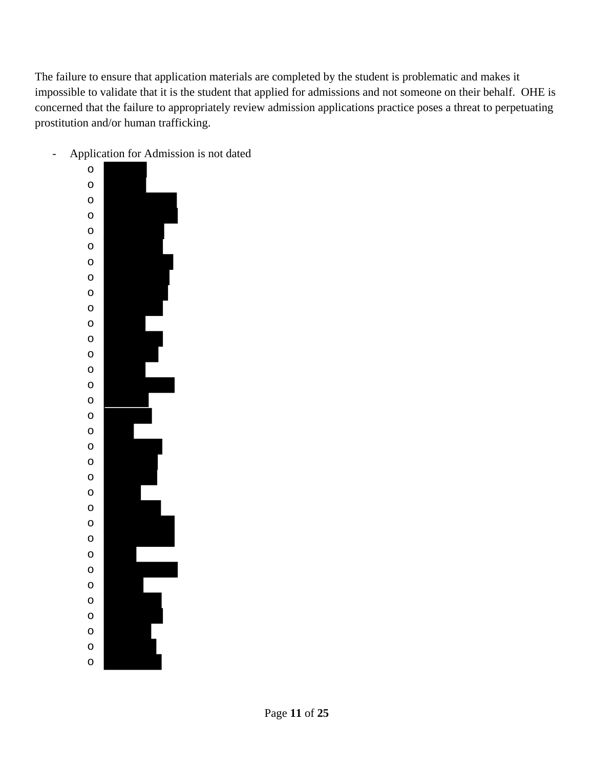The failure to ensure that application materials are completed by the student is problematic and makes it impossible to validate that it is the student that applied for admissions and not someone on their behalf. OHE is concerned that the failure to appropriately review admission applications practice poses a threat to perpetuating prostitution and/or human trafficking.

- o o o o o o o o o o o o o o o o o o o o o o o o o o o o o o o o o
- Application for Admission is not dated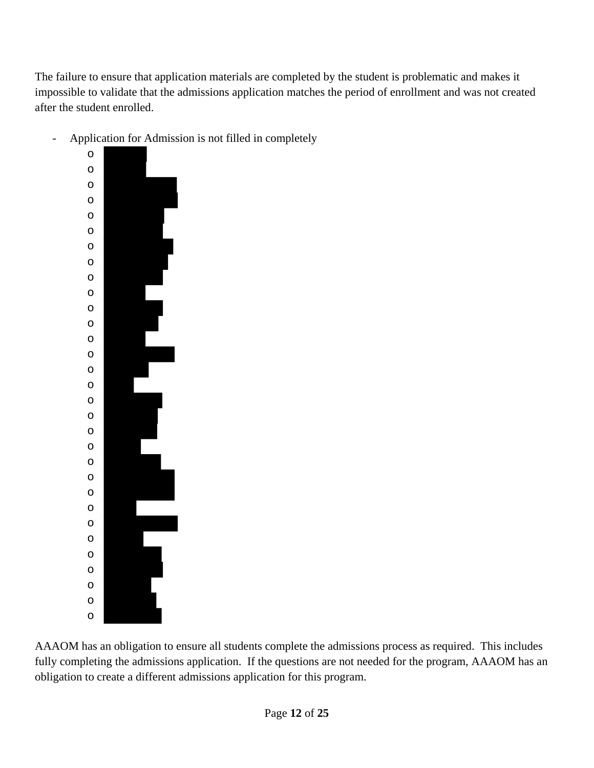The failure to ensure that application materials are completed by the student is problematic and makes it impossible to validate that the admissions application matches the period of enrollment and was not created after the student enrolled.



- Application for Admission is not filled in completely

AAAOM has an obligation to ensure all students complete the admissions process as required. This includes fully completing the admissions application. If the questions are not needed for the program, AAAOM has an obligation to create a different admissions application for this program.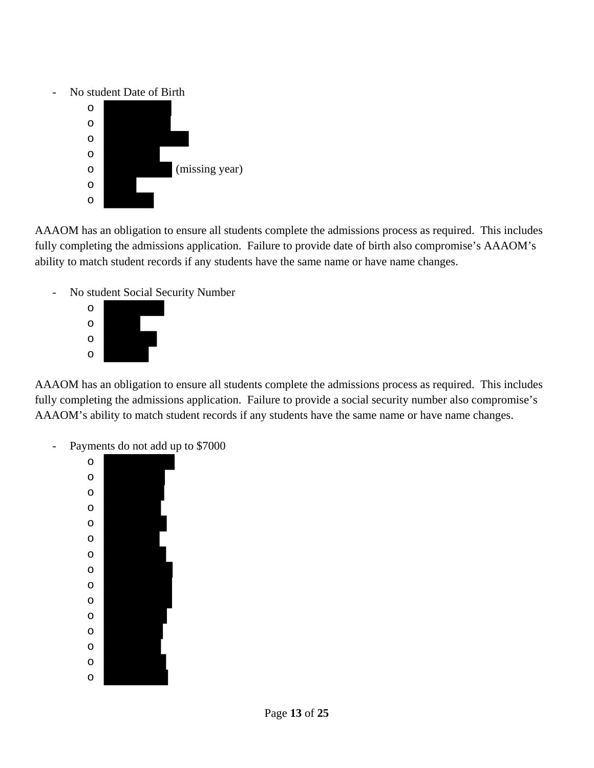No student Date of Birth



AAAOM has an obligation to ensure all students complete the admissions process as required. This includes fully completing the admissions application. Failure to provide date of birth also compromise's AAAOM's ability to match student records if any students have the same name or have name changes.

- No student Social Security Number



AAAOM has an obligation to ensure all students complete the admissions process as required. This includes fully completing the admissions application. Failure to provide a social security number also compromise's AAAOM's ability to match student records if any students have the same name or have name changes.

- Payments do not add up to \$7000

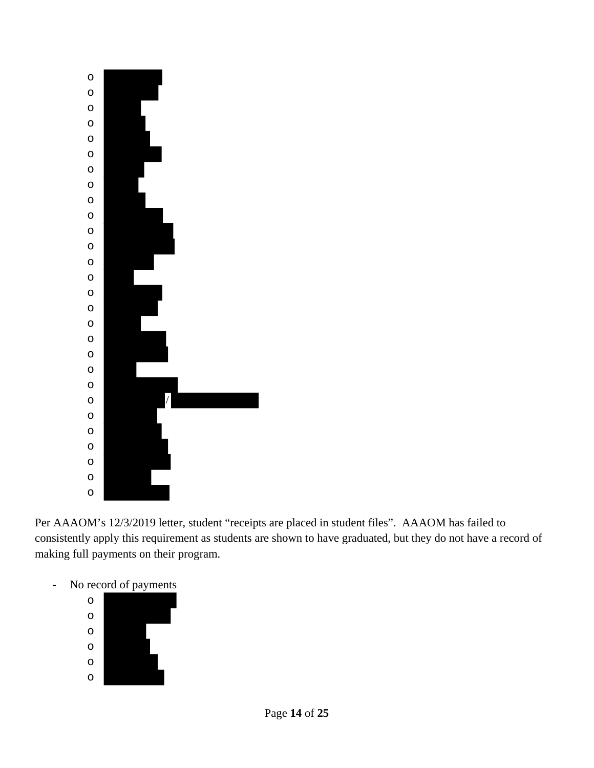

Per AAAOM's 12/3/2019 letter, student "receipts are placed in student files". AAAOM has failed to consistently apply this requirement as students are shown to have graduated, but they do not have a record of making full payments on their program.



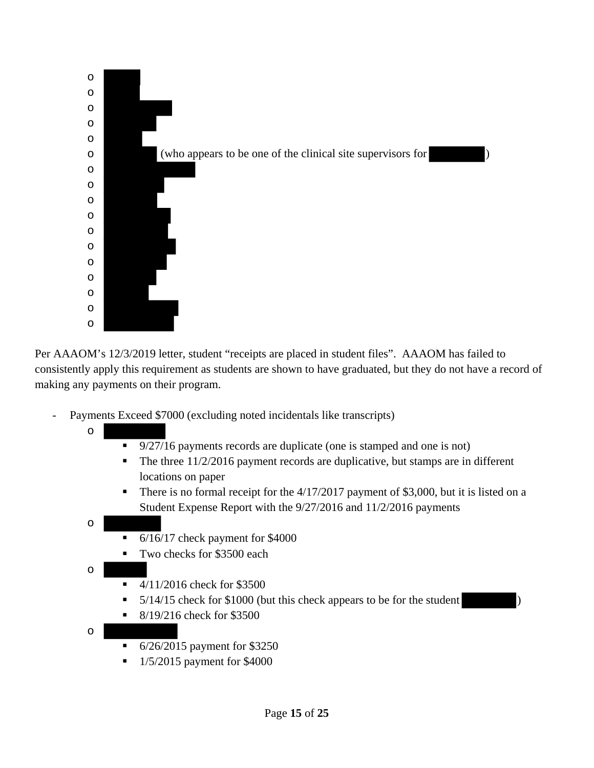

Per AAAOM's 12/3/2019 letter, student "receipts are placed in student files". AAAOM has failed to consistently apply this requirement as students are shown to have graduated, but they do not have a record of making any payments on their program.

- Payments Exceed \$7000 (excluding noted incidentals like transcripts)
	- o
		- 9/27/16 payments records are duplicate (one is stamped and one is not)
		- $\blacksquare$  The three 11/2/2016 payment records are duplicative, but stamps are in different locations on paper
		- There is no formal receipt for the  $4/17/2017$  payment of \$3,000, but it is listed on a Student Expense Report with the 9/27/2016 and 11/2/2016 payments
	- o
		- 6/16/17 check payment for \$4000
		- Two checks for \$3500 each
	- o
		- $-4/11/2016$  check for \$3500
		- $\blacksquare$  5/14/15 check for \$1000 (but this check appears to be for the student
		- $8/19/216$  check for \$3500
	- o
		- **6/26/2015** payment for \$3250
		- $\blacksquare$  1/5/2015 payment for \$4000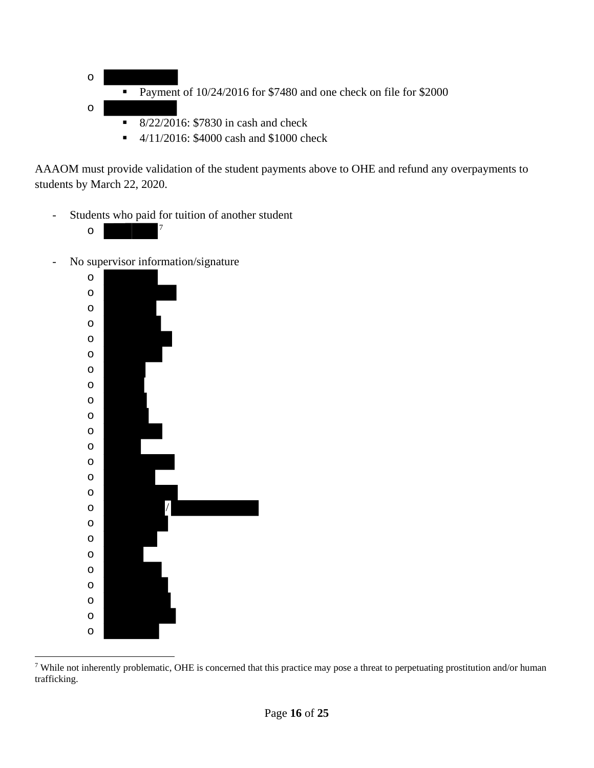

 $\blacksquare$  4/11/2016: \$4000 cash and \$1000 check

AAAOM must provide validation of the student payments above to OHE and refund any overpayments to students by March 22, 2020.

- Students who paid for tuition of another student
	- o <sup>7</sup>

 $\overline{a}$ 

- No supervisor information/signature



<sup>&</sup>lt;sup>7</sup> While not inherently problematic, OHE is concerned that this practice may pose a threat to perpetuating prostitution and/or human trafficking.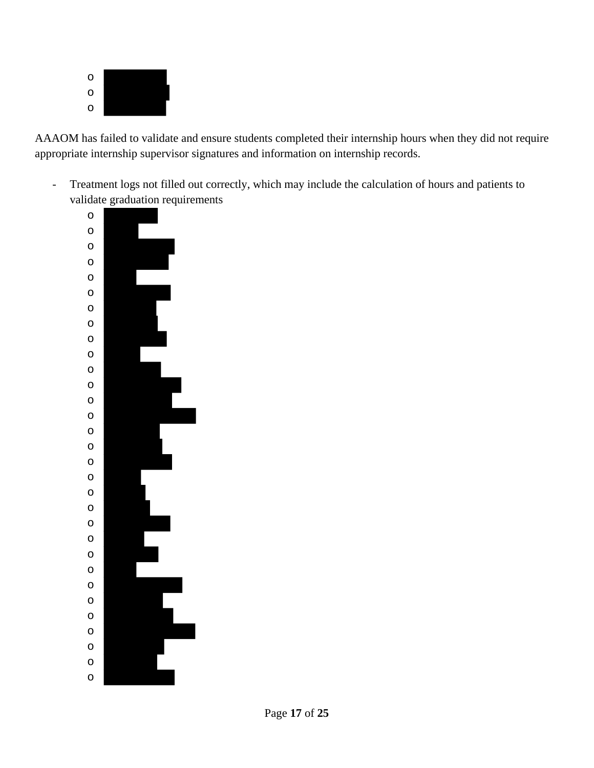

AAAOM has failed to validate and ensure students completed their internship hours when they did not require appropriate internship supervisor signatures and information on internship records.

- Treatment logs not filled out correctly, which may include the calculation of hours and patients to validate graduation requirements

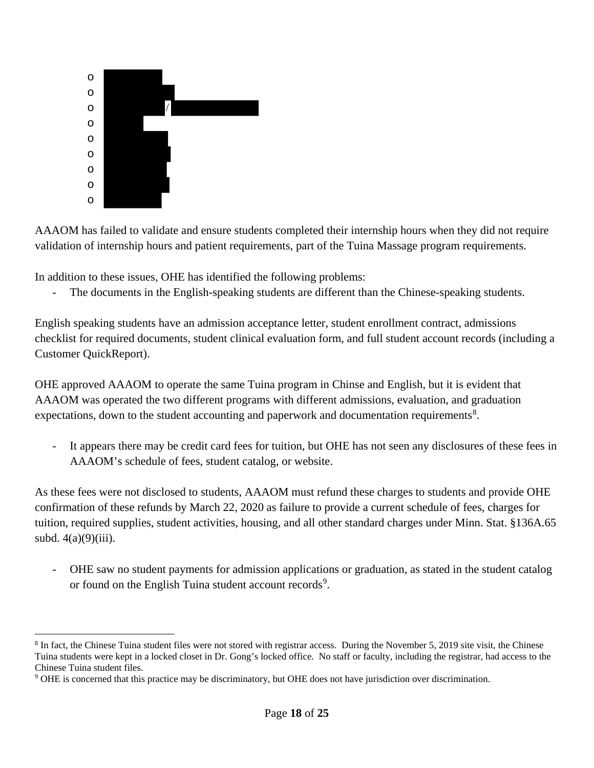

 $\overline{a}$ 

AAAOM has failed to validate and ensure students completed their internship hours when they did not require validation of internship hours and patient requirements, part of the Tuina Massage program requirements.

In addition to these issues, OHE has identified the following problems:

- The documents in the English-speaking students are different than the Chinese-speaking students.

English speaking students have an admission acceptance letter, student enrollment contract, admissions checklist for required documents, student clinical evaluation form, and full student account records (including a Customer QuickReport).

OHE approved AAAOM to operate the same Tuina program in Chinse and English, but it is evident that AAAOM was operated the two different programs with different admissions, evaluation, and graduation expectations, down to the student accounting and paperwork and documentation requirements<sup>8</sup>.

- It appears there may be credit card fees for tuition, but OHE has not seen any disclosures of these fees in AAAOM's schedule of fees, student catalog, or website.

As these fees were not disclosed to students, AAAOM must refund these charges to students and provide OHE confirmation of these refunds by March 22, 2020 as failure to provide a current schedule of fees, charges for tuition, required supplies, student activities, housing, and all other standard charges under Minn. Stat. §136A.65 subd.  $4(a)(9)(iii)$ .

- OHE saw no student payments for admission applications or graduation, as stated in the student catalog or found on the English Tuina student account records<sup>9</sup>.

<sup>&</sup>lt;sup>8</sup> In fact, the Chinese Tuina student files were not stored with registrar access. During the November 5, 2019 site visit, the Chinese Tuina students were kept in a locked closet in Dr. Gong's locked office. No staff or faculty, including the registrar, had access to the Chinese Tuina student files.

<sup>9</sup> OHE is concerned that this practice may be discriminatory, but OHE does not have jurisdiction over discrimination.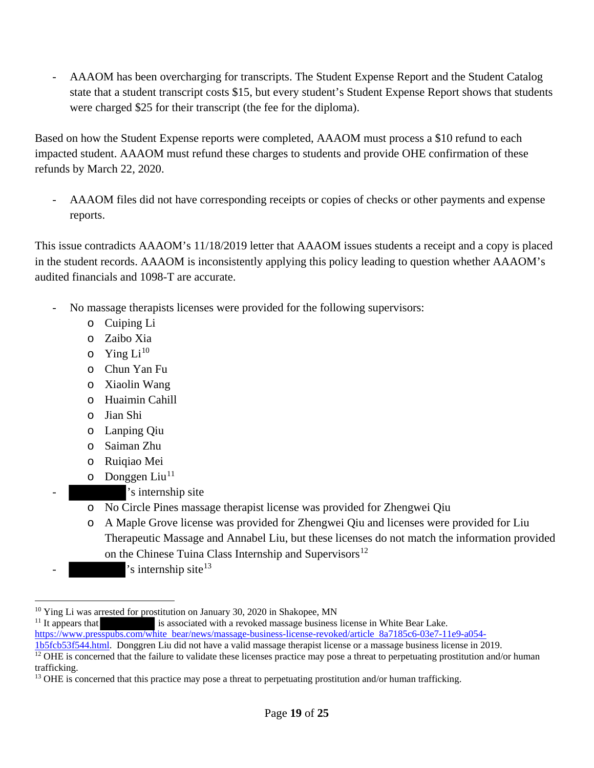- AAAOM has been overcharging for transcripts. The Student Expense Report and the Student Catalog state that a student transcript costs \$15, but every student's Student Expense Report shows that students were charged \$25 for their transcript (the fee for the diploma).

Based on how the Student Expense reports were completed, AAAOM must process a \$10 refund to each impacted student. AAAOM must refund these charges to students and provide OHE confirmation of these refunds by March 22, 2020.

- AAAOM files did not have corresponding receipts or copies of checks or other payments and expense reports.

This issue contradicts AAAOM's 11/18/2019 letter that AAAOM issues students a receipt and a copy is placed in the student records. AAAOM is inconsistently applying this policy leading to question whether AAAOM's audited financials and 1098-T are accurate.

- No massage therapists licenses were provided for the following supervisors:
	- o Cuiping Li
	- o Zaibo Xia
	- $\circ$  Ying Li<sup>10</sup>
	- o Chun Yan Fu
	- o Xiaolin Wang
	- o Huaimin Cahill
	- o Jian Shi
	- o Lanping Qiu
	- o Saiman Zhu
	- o Ruiqiao Mei
	- $\circ$  Donggen Liu<sup>11</sup>
		- 's internship site
	- o No Circle Pines massage therapist license was provided for Zhengwei Qiu
	- o A Maple Grove license was provided for Zhengwei Qiu and licenses were provided for Liu Therapeutic Massage and Annabel Liu, but these licenses do not match the information provided on the Chinese Tuina Class Internship and Supervisors<sup>12</sup>
- 's internship site $13$

is associated with a revoked massage business license in White Bear Lake.

 $\overline{a}$ <sup>10</sup> Ying Li was arrested for prostitution on January 30, 2020 in Shakopee, MN <sup>11</sup> It appears that is associated with a revoked massage business

https://www.presspubs.com/white bear/news/massage-business-license-revoked/article 8a7185c6-03e7-11e9-a054-<br>1b5fcb53f544.html. Donggren Liu did not have a valid massage therapist license or a massage business license in 20

<sup>&</sup>lt;sup>12</sup> OHE is concerned that the failure to validate these licenses practice may pose a threat to perpetuating prostitution and/or human trafficking.

<sup>&</sup>lt;sup>13</sup> OHE is concerned that this practice may pose a threat to perpetuating prostitution and/or human trafficking.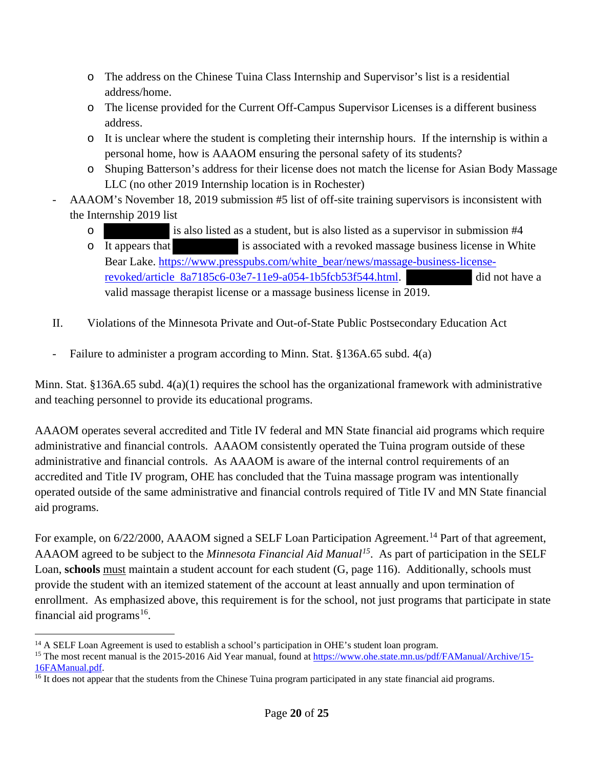- o The address on the Chinese Tuina Class Internship and Supervisor's list is a residential address/home.
- o The license provided for the Current Off-Campus Supervisor Licenses is a different business address.
- o It is unclear where the student is completing their internship hours. If the internship is within a personal home, how is AAAOM ensuring the personal safety of its students?
- o Shuping Batterson's address for their license does not match the license for Asian Body Massage LLC (no other 2019 Internship location is in Rochester)
- AAAOM's November 18, 2019 submission #5 list of off-site training supervisors is inconsistent with the Internship 2019 list
	- o is also listed as a student, but is also listed as a supervisor in submission #4
	- o It appears that is associated with a revoked massage business license in White Bear Lake. https://www.presspubs.com/white\_bear/news/massage-business-licenserevoked/article 8a7185c6-03e7-11e9-a054-1b5fcb53f544.html. did not have a valid massage therapist license or a massage business license in 2019.
- II. Violations of the Minnesota Private and Out-of-State Public Postsecondary Education Act
- Failure to administer a program according to Minn. Stat. §136A.65 subd. 4(a)

Minn. Stat. §136A.65 subd. 4(a)(1) requires the school has the organizational framework with administrative and teaching personnel to provide its educational programs.

AAAOM operates several accredited and Title IV federal and MN State financial aid programs which require administrative and financial controls. AAAOM consistently operated the Tuina program outside of these administrative and financial controls. As AAAOM is aware of the internal control requirements of an accredited and Title IV program, OHE has concluded that the Tuina massage program was intentionally operated outside of the same administrative and financial controls required of Title IV and MN State financial aid programs.

For example, on 6/22/2000, AAAOM signed a SELF Loan Participation Agreement.<sup>14</sup> Part of that agreement, AAAOM agreed to be subject to the *Minnesota Financial Aid Manual15*. As part of participation in the SELF Loan, **schools** must maintain a student account for each student (G, page 116). Additionally, schools must provide the student with an itemized statement of the account at least annually and upon termination of enrollment. As emphasized above, this requirement is for the school, not just programs that participate in state financial aid programs<sup>16</sup>.

 $\overline{a}$ 

<sup>&</sup>lt;sup>14</sup> A SELF Loan Agreement is used to establish a school's participation in OHE's student loan program.<br><sup>15</sup> The most recent manual is the 2015-2016 Aid Year manual, found at  $\frac{https://www.obe.state.mn.us/pdf/FAManual/Archive/15-16FAManual.pdf.$ 

 $\frac{16}{16}$  It does not appear that the students from the Chinese Tuina program participated in any state financial aid programs.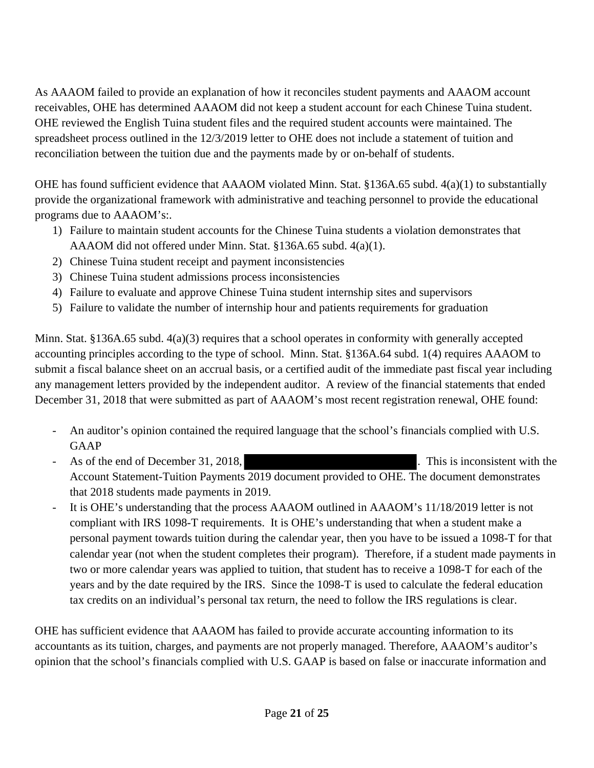As AAAOM failed to provide an explanation of how it reconciles student payments and AAAOM account receivables, OHE has determined AAAOM did not keep a student account for each Chinese Tuina student. OHE reviewed the English Tuina student files and the required student accounts were maintained. The spreadsheet process outlined in the 12/3/2019 letter to OHE does not include a statement of tuition and reconciliation between the tuition due and the payments made by or on-behalf of students.

OHE has found sufficient evidence that AAAOM violated Minn. Stat. §136A.65 subd. 4(a)(1) to substantially provide the organizational framework with administrative and teaching personnel to provide the educational programs due to AAAOM's:.

- 1) Failure to maintain student accounts for the Chinese Tuina students a violation demonstrates that AAAOM did not offered under Minn. Stat. §136A.65 subd. 4(a)(1).
- 2) Chinese Tuina student receipt and payment inconsistencies
- 3) Chinese Tuina student admissions process inconsistencies
- 4) Failure to evaluate and approve Chinese Tuina student internship sites and supervisors
- 5) Failure to validate the number of internship hour and patients requirements for graduation

Minn. Stat. §136A.65 subd. 4(a)(3) requires that a school operates in conformity with generally accepted accounting principles according to the type of school. Minn. Stat. §136A.64 subd. 1(4) requires AAAOM to submit a fiscal balance sheet on an accrual basis, or a certified audit of the immediate past fiscal year including any management letters provided by the independent auditor. A review of the financial statements that ended December 31, 2018 that were submitted as part of AAAOM's most recent registration renewal, OHE found:

- An auditor's opinion contained the required language that the school's financials complied with U.S. GAAP
- As of the end of December 31, 2018, This is inconsistent with the Account Statement-Tuition Payments 2019 document provided to OHE. The document demonstrates that 2018 students made payments in 2019.
- It is OHE's understanding that the process AAAOM outlined in AAAOM's 11/18/2019 letter is not compliant with IRS 1098-T requirements. It is OHE's understanding that when a student make a personal payment towards tuition during the calendar year, then you have to be issued a 1098-T for that calendar year (not when the student completes their program). Therefore, if a student made payments in two or more calendar years was applied to tuition, that student has to receive a 1098-T for each of the years and by the date required by the IRS. Since the 1098-T is used to calculate the federal education tax credits on an individual's personal tax return, the need to follow the IRS regulations is clear.

OHE has sufficient evidence that AAAOM has failed to provide accurate accounting information to its accountants as its tuition, charges, and payments are not properly managed. Therefore, AAAOM's auditor's opinion that the school's financials complied with U.S. GAAP is based on false or inaccurate information and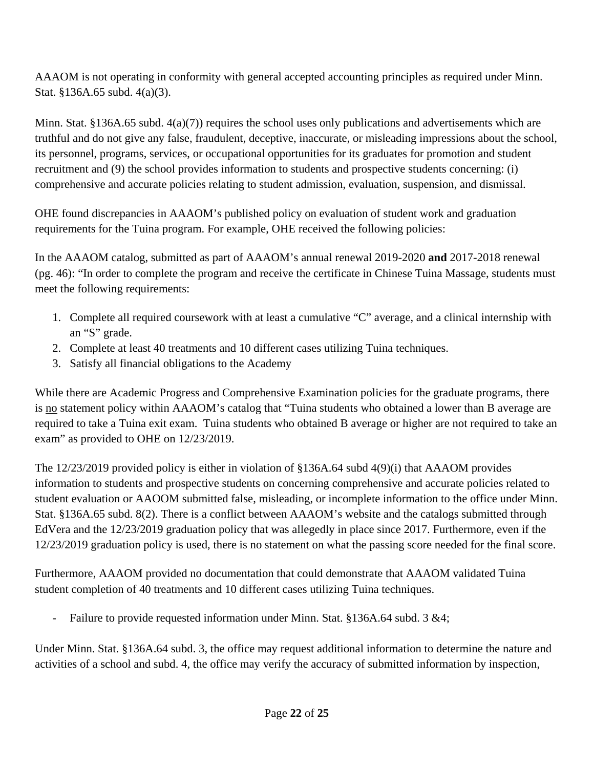AAAOM is not operating in conformity with general accepted accounting principles as required under Minn. Stat. §136A.65 subd. 4(a)(3).

Minn. Stat. §136A.65 subd.  $4(a)(7)$  requires the school uses only publications and advertisements which are truthful and do not give any false, fraudulent, deceptive, inaccurate, or misleading impressions about the school, its personnel, programs, services, or occupational opportunities for its graduates for promotion and student recruitment and (9) the school provides information to students and prospective students concerning: (i) comprehensive and accurate policies relating to student admission, evaluation, suspension, and dismissal.

OHE found discrepancies in AAAOM's published policy on evaluation of student work and graduation requirements for the Tuina program. For example, OHE received the following policies:

In the AAAOM catalog, submitted as part of AAAOM's annual renewal 2019-2020 **and** 2017-2018 renewal (pg. 46): "In order to complete the program and receive the certificate in Chinese Tuina Massage, students must meet the following requirements:

- 1. Complete all required coursework with at least a cumulative "C" average, and a clinical internship with an "S" grade.
- 2. Complete at least 40 treatments and 10 different cases utilizing Tuina techniques.
- 3. Satisfy all financial obligations to the Academy

While there are Academic Progress and Comprehensive Examination policies for the graduate programs, there is no statement policy within AAAOM's catalog that "Tuina students who obtained a lower than B average are required to take a Tuina exit exam. Tuina students who obtained B average or higher are not required to take an exam" as provided to OHE on 12/23/2019.

The 12/23/2019 provided policy is either in violation of §136A.64 subd 4(9)(i) that AAAOM provides information to students and prospective students on concerning comprehensive and accurate policies related to student evaluation or AAOOM submitted false, misleading, or incomplete information to the office under Minn. Stat. §136A.65 subd. 8(2). There is a conflict between AAAOM's website and the catalogs submitted through EdVera and the 12/23/2019 graduation policy that was allegedly in place since 2017. Furthermore, even if the 12/23/2019 graduation policy is used, there is no statement on what the passing score needed for the final score.

Furthermore, AAAOM provided no documentation that could demonstrate that AAAOM validated Tuina student completion of 40 treatments and 10 different cases utilizing Tuina techniques.

- Failure to provide requested information under Minn. Stat. §136A.64 subd. 3 &4;

Under Minn. Stat. §136A.64 subd. 3, the office may request additional information to determine the nature and activities of a school and subd. 4, the office may verify the accuracy of submitted information by inspection,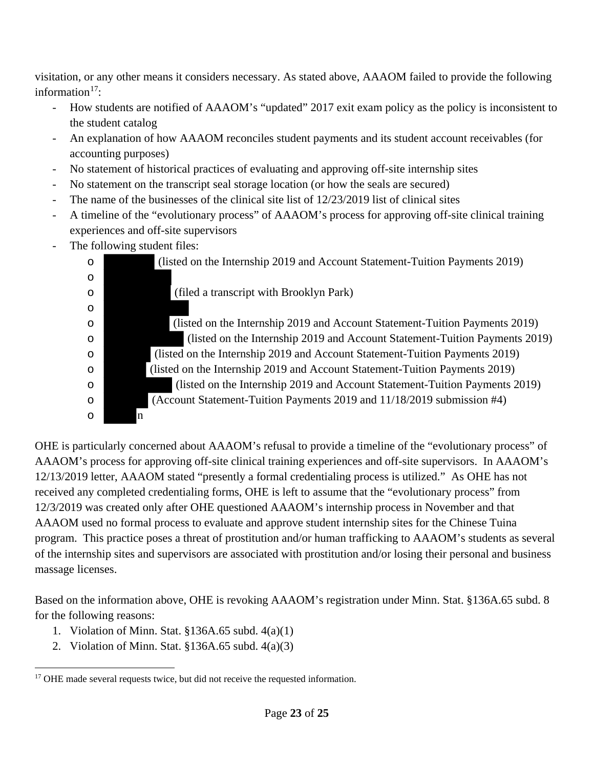visitation, or any other means it considers necessary. As stated above, AAAOM failed to provide the following information $17$ :

- How students are notified of AAAOM's "updated" 2017 exit exam policy as the policy is inconsistent to the student catalog
- An explanation of how AAAOM reconciles student payments and its student account receivables (for accounting purposes)
- No statement of historical practices of evaluating and approving off-site internship sites
- No statement on the transcript seal storage location (or how the seals are secured)
- The name of the businesses of the clinical site list of  $12/23/2019$  list of clinical sites
- A timeline of the "evolutionary process" of AAAOM's process for approving off-site clinical training experiences and off-site supervisors
- The following student files:

o

o

o (listed on the Internship 2019 and Account Statement-Tuition Payments 2019)

o (filed a transcript with Brooklyn Park)

o (listed on the Internship 2019 and Account Statement-Tuition Payments 2019) o (listed on the Internship 2019 and Account Statement-Tuition Payments 2019) o (listed on the Internship 2019 and Account Statement-Tuition Payments 2019) o (listed on the Internship 2019 and Account Statement-Tuition Payments 2019) o (listed on the Internship 2019 and Account Statement-Tuition Payments 2019) o (Account Statement-Tuition Payments 2019 and 11/18/2019 submission #4) o n

OHE is particularly concerned about AAAOM's refusal to provide a timeline of the "evolutionary process" of AAAOM's process for approving off-site clinical training experiences and off-site supervisors. In AAAOM's 12/13/2019 letter, AAAOM stated "presently a formal credentialing process is utilized." As OHE has not received any completed credentialing forms, OHE is left to assume that the "evolutionary process" from 12/3/2019 was created only after OHE questioned AAAOM's internship process in November and that AAAOM used no formal process to evaluate and approve student internship sites for the Chinese Tuina program. This practice poses a threat of prostitution and/or human trafficking to AAAOM's students as several of the internship sites and supervisors are associated with prostitution and/or losing their personal and business massage licenses.

Based on the information above, OHE is revoking AAAOM's registration under Minn. Stat. §136A.65 subd. 8 for the following reasons:

- 1. Violation of Minn. Stat. §136A.65 subd. 4(a)(1)
- 2. Violation of Minn. Stat. §136A.65 subd. 4(a)(3)

 $\overline{a}$ <sup>17</sup> OHE made several requests twice, but did not receive the requested information.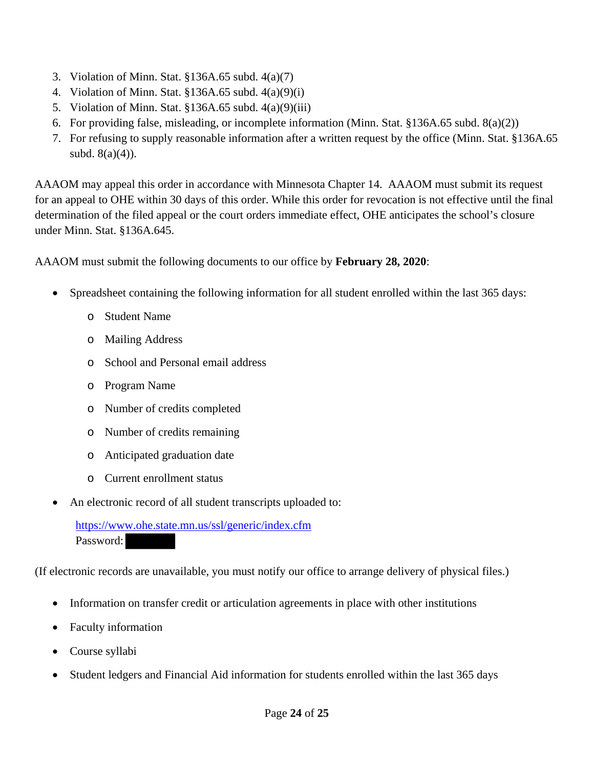- 3. Violation of Minn. Stat. §136A.65 subd. 4(a)(7)
- 4. Violation of Minn. Stat. §136A.65 subd. 4(a)(9)(i)
- 5. Violation of Minn. Stat. §136A.65 subd. 4(a)(9)(iii)
- 6. For providing false, misleading, or incomplete information (Minn. Stat. §136A.65 subd. 8(a)(2))
- 7. For refusing to supply reasonable information after a written request by the office (Minn. Stat. §136A.65 subd.  $8(a)(4)$ ).

AAAOM may appeal this order in accordance with Minnesota Chapter 14. AAAOM must submit its request for an appeal to OHE within 30 days of this order. While this order for revocation is not effective until the final determination of the filed appeal or the court orders immediate effect, OHE anticipates the school's closure under Minn. Stat. §136A.645.

AAAOM must submit the following documents to our office by **February 28, 2020**:

- Spreadsheet containing the following information for all student enrolled within the last 365 days:
	- o Student Name
	- o Mailing Address
	- o School and Personal email address
	- o Program Name
	- o Number of credits completed
	- o Number of credits remaining
	- o Anticipated graduation date
	- o Current enrollment status
- An electronic record of all student transcripts uploaded to:

 https://www.ohe.state.mn.us/ssl/generic/index.cfm Password:

(If electronic records are unavailable, you must notify our office to arrange delivery of physical files.)

- Information on transfer credit or articulation agreements in place with other institutions
- Faculty information
- Course syllabi
- Student ledgers and Financial Aid information for students enrolled within the last 365 days